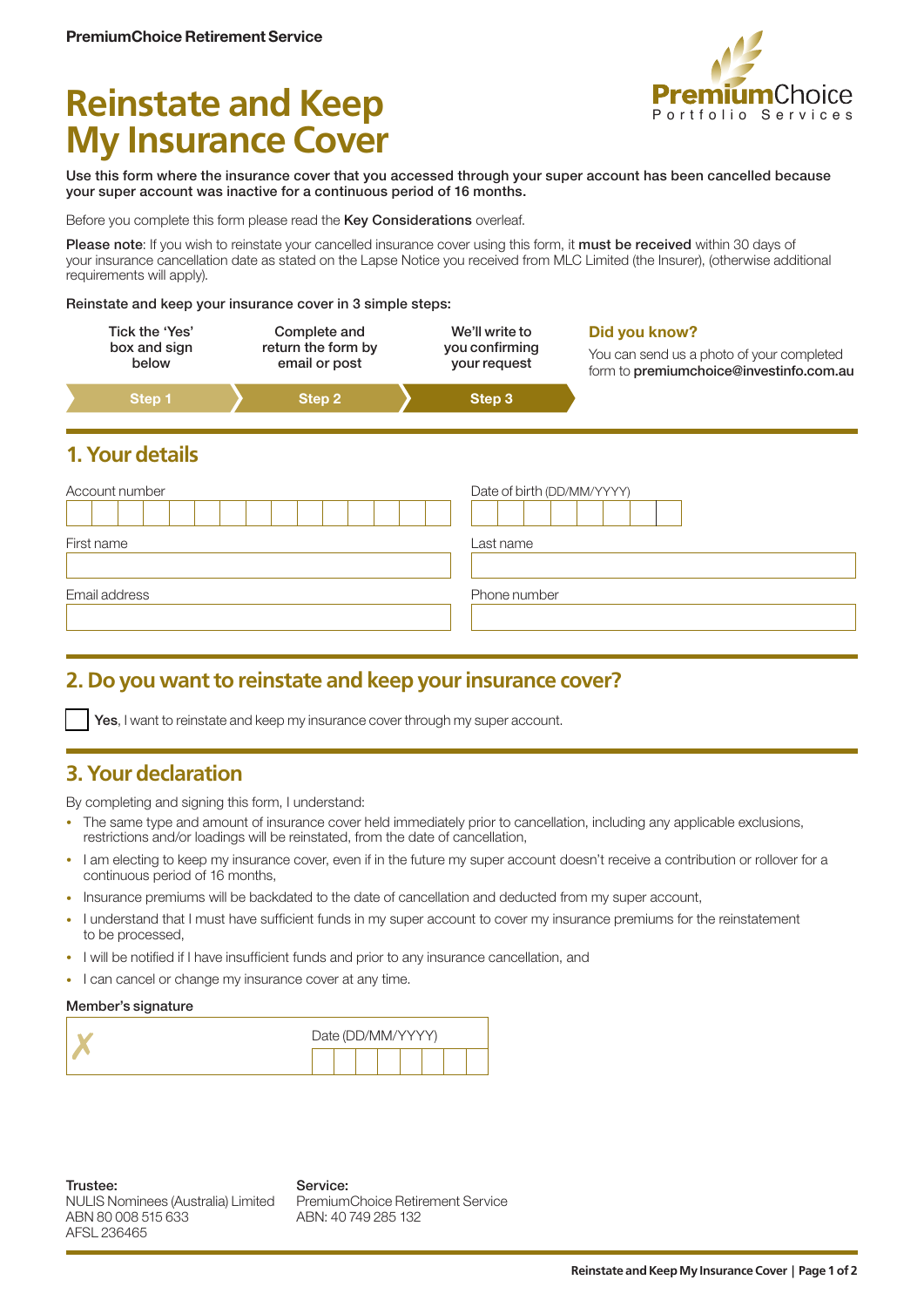# **Reinstate and Keep My Insurance Cover**



Use this form where the insurance cover that you accessed through your super account has been cancelled because your super account was inactive for a continuous period of 16 months.

Before you complete this form please read the Key Considerations overleaf.

Please note: If you wish to reinstate your cancelled insurance cover using this form, it must be received within 30 days of your insurance cancellation date as stated on the Lapse Notice you received from MLC Limited (the Insurer), (otherwise additional requirements will apply).

Reinstate and keep your insurance cover in 3 simple steps:

| Tick the 'Yes' | Complete and       | We'll write to | Did you know?                             |
|----------------|--------------------|----------------|-------------------------------------------|
| box and sign   | return the form by | you confirming | You can send us a photo of your completed |
| below          | email or post      | your request   | form to premiumchoice@investinfo.com.au   |
| Step 1         | Step 2             | Step 3         |                                           |

### **1. Your details**

| Account number | Date of birth (DD/MM/YYYY) |
|----------------|----------------------------|
| First name     | Last name                  |
| Email address  | Phone number               |

## **2. Do you want to reinstate and keep your insurance cover?**

Yes, I want to reinstate and keep my insurance cover through my super account.

## **3. Your declaration**

By completing and signing this form, I understand:

- The same type and amount of insurance cover held immediately prior to cancellation, including any applicable exclusions, restrictions and/or loadings will be reinstated, from the date of cancellation,
- I am electing to keep my insurance cover, even if in the future my super account doesn't receive a contribution or rollover for a continuous period of 16 months,
- Insurance premiums will be backdated to the date of cancellation and deducted from my super account,
- I understand that I must have sufficient funds in my super account to cover my insurance premiums for the reinstatement to be processed,
- I will be notified if I have insufficient funds and prior to any insurance cancellation, and
- I can cancel or change my insurance cover at any time.

#### Member's signature

| Date (DD/MM/YYYY) |  |  |  |  |
|-------------------|--|--|--|--|
|                   |  |  |  |  |

Service: PremiumChoice Retirement Service ABN: 40 749 285 132